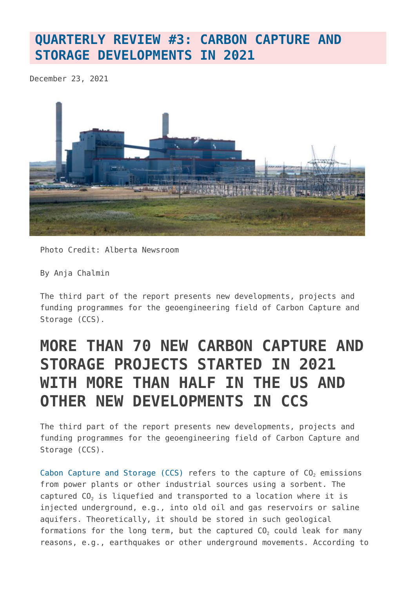# **[QUARTERLY REVIEW #3: CARBON CAPTURE AND](https://www.geoengineeringmonitor.org/2021/12/quarterly-review-3-carbon-capture-and-storage-developments-in-2021/) [STORAGE DEVELOPMENTS IN 2021](https://www.geoengineeringmonitor.org/2021/12/quarterly-review-3-carbon-capture-and-storage-developments-in-2021/)**

December 23, 2021



Photo Credit: Alberta Newsroom

By Anja Chalmin

The third part of the report presents new developments, projects and funding programmes for the geoengineering field of Carbon Capture and Storage (CCS).

# **MORE THAN 70 NEW CARBON CAPTURE AND STORAGE PROJECTS STARTED IN 2021 WITH MORE THAN HALF IN THE US AND OTHER NEW DEVELOPMENTS IN CCS**

The third part of the report presents new developments, projects and funding programmes for the geoengineering field of Carbon Capture and Storage (CCS).

[Cabon Capture and Storage \(CCS\)](https://www.geoengineeringmonitor.org/wp-content/uploads/2021/04/carbon-capture-and-storage.pdf) refers to the capture of  $CO<sub>2</sub>$  emissions from power plants or other industrial sources using a sorbent. The captured CO<sub>2</sub> is liquefied and transported to a location where it is injected underground, e.g., into old oil and gas reservoirs or saline aquifers. Theoretically, it should be stored in such geological formations for the long term, but the captured  $CO<sub>2</sub>$  could leak for many reasons, e.g., earthquakes or other underground movements. According to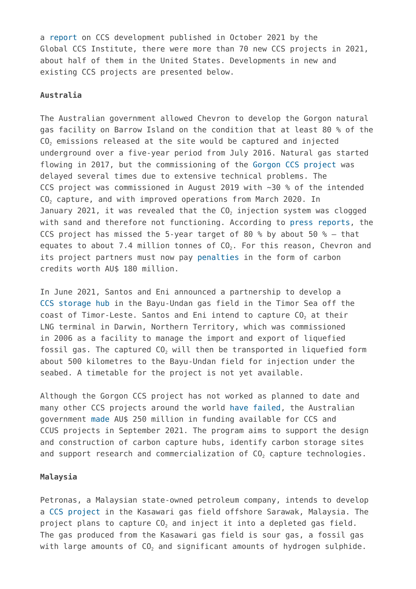a [report](https://www.globalccsinstitute.com/wp-content/uploads/2021/10/2021-Global-Status-of-CCS-Global-CCS-Institute-Oct-21.pdf) on CCS development published in October 2021 by the Global CCS Institute, there were more than 70 new CCS projects in 2021, about half of them in the United States. Developments in new and existing CCS projects are presented below.

## **Australia**

The Australian government allowed Chevron to develop the Gorgon natural gas facility on Barrow Island on the condition that at least 80 % of the  $CO<sub>2</sub>$  emissions released at the site would be captured and injected underground over a five-year period from July 2016. Natural gas started flowing in 2017, but the commissioning of the [Gorgon CCS project](https://map.geoengineeringmonitor.org/ggr/gorgon-ccs-project) was delayed several times due to extensive technical problems. The CCS project was commissioned in August 2019 with ~30 % of the intended CO<sub>2</sub> capture, and with improved operations from March 2020. In January 2021, it was revealed that the  $CO<sub>2</sub>$  injection system was clogged with sand and therefore not functioning. According to [press reports](https://www.entrepreneur.com/article/397750), the CCS project has missed the 5-year target of 80 % by about 50 %  $-$  that equates to about 7.4 million tonnes of  $CO<sub>2</sub>$ . For this reason, Chevron and its project partners must now pay [penalties](https://www.reuters.com/business/sustainable-business/chevron-invest-29-mln-address-co2-injection-shortfall-australia-lng-site-2021-11-11/) in the form of carbon credits worth AU\$ 180 million.

In June 2021, Santos and Eni announced a partnership to develop a [CCS storage hub](https://map.geoengineeringmonitor.org/ggr/bayu-undan-ccs-hub) in the Bayu-Undan gas field in the Timor Sea off the coast of Timor-Leste. Santos and Eni intend to capture  $CO<sub>2</sub>$  at their LNG terminal in Darwin, Northern Territory, which was commissioned in 2006 as a facility to manage the import and export of liquefied fossil gas. The captured  $CO<sub>2</sub>$  will then be transported in liquefied form about 500 kilometres to the Bayu-Undan field for injection under the seabed. A timetable for the project is not yet available.

Although the Gorgon CCS project has not worked as planned to date and many other CCS projects around the world [have failed,](https://map.geoengineeringmonitor.org/) the Australian government [made](https://www.industry.gov.au/news/funding-launched-for-carbon-capture-use-and-storage-hubs-and-technologies) AU\$ 250 million in funding available for CCS and CCUS projects in September 2021. The program aims to support the design and construction of carbon capture hubs, identify carbon storage sites and support research and commercialization of  $CO<sub>2</sub>$  capture technologies.

#### **Malaysia**

Petronas, a Malaysian state-owned petroleum company, intends to develop a [CCS project](https://map.geoengineeringmonitor.org/ggr/kasawari-ccs-project) in the Kasawari gas field offshore Sarawak, Malaysia. The project plans to capture CO<sub>2</sub> and inject it into a depleted gas field. The gas produced from the Kasawari gas field is sour gas, a fossil gas with large amounts of  $CO<sub>2</sub>$  and significant amounts of hydrogen sulphide.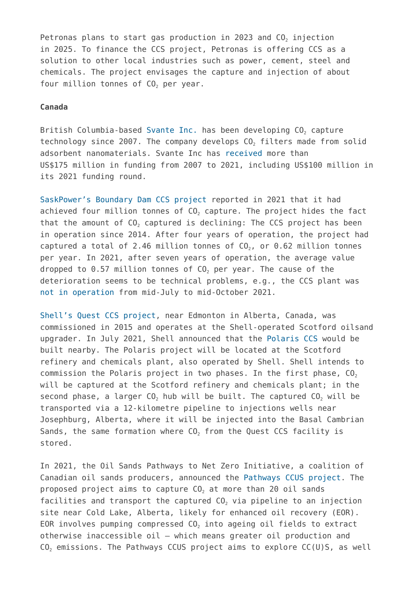Petronas plans to start gas production in 2023 and  $CO<sub>2</sub>$  injection in 2025. To finance the CCS project, Petronas is offering CCS as a solution to other local industries such as power, cement, steel and chemicals. The project envisages the capture and injection of about four million tonnes of  $CO<sub>2</sub>$  per year.

# **Canada**

British Columbia-based [Svante Inc.](https://map.geoengineeringmonitor.org/ggr/svante-inc-(former-inventys-inc-)) has been developing CO<sub>2</sub> capture technology since 2007. The company develops  $CO<sub>2</sub>$  filters made from solid adsorbent nanomaterials. Svante Inc has [received](https://www.globenewswire.com/news-release/2021/03/18/2195855/0/en/Suncor-Energy-invests-in-carbon-capture-technology-company-Svante.html) more than US\$175 million in funding from 2007 to 2021, including US\$100 million in its 2021 funding round.

[SaskPower's Boundary Dam CCS project](https://map.geoengineeringmonitor.org/ggr/saskpower-boundary-dam-) reported in 2021 that it had achieved four million tonnes of CO<sub>2</sub> capture. The project hides the fact that the amount of  $CO<sub>2</sub>$  captured is declining: The CCS project has been in operation since 2014. After four years of operation, the project had captured a total of 2.46 million tonnes of  $CO<sub>2</sub>$ , or 0.62 million tonnes per year. In 2021, after seven years of operation, the average value dropped to 0.57 million tonnes of  $CO<sub>2</sub>$  per year. The cause of the deterioration seems to be technical problems, e.g., the CCS plant was [not in operation](https://www.sasktoday.ca/south/local-news/ccs-facility-at-saskpowers-boundary-dam-power-station-is-back-online-4512170) from mid-July to mid-October 2021.

[Shell's Quest CCS project](https://map.geoengineeringmonitor.org/ggr/quest-ccs-project), near Edmonton in Alberta, Canada, was commissioned in 2015 and operates at the Shell-operated Scotford oilsand upgrader. In July 2021, Shell announced that the [Polaris CCS](https://map.geoengineeringmonitor.org/ggr/polaris-ccs) would be built nearby. The Polaris project will be located at the Scotford refinery and chemicals plant, also operated by Shell. Shell intends to commission the Polaris project in two phases. In the first phase,  $CO<sub>2</sub>$ will be captured at the Scotford refinery and chemicals plant; in the second phase, a larger  $CO<sub>2</sub>$  hub will be built. The captured  $CO<sub>2</sub>$  will be transported via a 12-kilometre pipeline to injections wells near Josephburg, Alberta, where it will be injected into the Basal Cambrian Sands, the same formation where  $CO<sub>2</sub>$  from the Quest CCS facility is stored.

In 2021, the Oil Sands Pathways to Net Zero Initiative, a coalition of Canadian oil sands producers, announced the [Pathways CCUS project.](https://map.geoengineeringmonitor.org/ggr/pathways-ccus-) The proposed project aims to capture  $CO<sub>2</sub>$  at more than 20 oil sands facilities and transport the captured  $CO<sub>2</sub>$  via pipeline to an injection site near Cold Lake, Alberta, likely for enhanced oil recovery (EOR). EOR involves pumping compressed  $CO<sub>2</sub>$  into ageing oil fields to extract otherwise inaccessible oil – which means greater oil production and  $CO<sub>2</sub>$  emissions. The Pathways CCUS project aims to explore  $CC(U)$ S, as well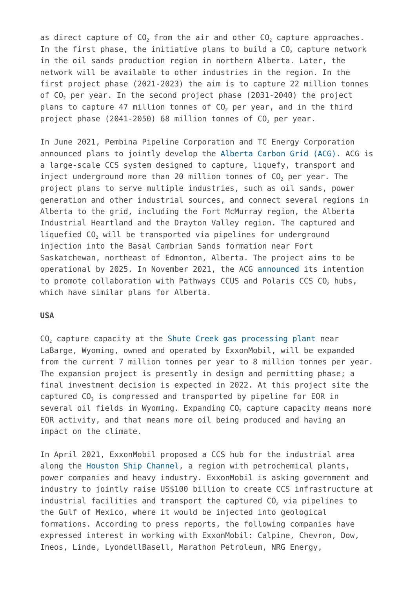as direct capture of  $CO<sub>2</sub>$  from the air and other  $CO<sub>2</sub>$  capture approaches. In the first phase, the initiative plans to build a  $CO<sub>2</sub>$  capture network in the oil sands production region in northern Alberta. Later, the network will be available to other industries in the region. In the first project phase (2021-2023) the aim is to capture 22 million tonnes of  $C_0$  per year. In the second project phase (2031-2040) the project plans to capture 47 million tonnes of CO<sub>2</sub> per year, and in the third project phase  $(2041-2050)$  68 million tonnes of  $CO<sub>2</sub>$  per year.

In June 2021, Pembina Pipeline Corporation and TC Energy Corporation announced plans to jointly develop the [Alberta Carbon Grid \(ACG\)](https://map.geoengineeringmonitor.org/ggr/alberta-carbon-grid-(acg)). ACG is a large-scale CCS system designed to capture, liquefy, transport and inject underground more than 20 million tonnes of CO<sub>2</sub> per year. The project plans to serve multiple industries, such as oil sands, power generation and other industrial sources, and connect several regions in Alberta to the grid, including the Fort McMurray region, the Alberta Industrial Heartland and the Drayton Valley region. The captured and liquefied CO<sub>2</sub> will be transported via pipelines for underground injection into the Basal Cambrian Sands formation near Fort Saskatchewan, northeast of Edmonton, Alberta. The project aims to be operational by 2025. In November 2021, the ACG [announced](https://www.reuters.com/business/energy/exclusive-pembina-tc-energy-look-merge-canada-carbon-capture-plan-with-rivals-2021-11-02/) its intention to promote collaboration with Pathways CCUS and Polaris CCS CO<sub>2</sub> hubs, which have similar plans for Alberta.

#### **USA**

CO<sub>2</sub> capture capacity at the [Shute Creek gas processing plant](https://map.geoengineeringmonitor.org/ggr/shute-creek-gas-processing-plant) near LaBarge, Wyoming, owned and operated by ExxonMobil, will be expanded from the current 7 million tonnes per year to 8 million tonnes per year. The expansion project is presently in design and permitting phase; a final investment decision is expected in 2022. At this project site the captured  $CO<sub>2</sub>$  is compressed and transported by pipeline for EOR in several oil fields in Wyoming. Expanding  $CO<sub>2</sub>$  capture capacity means more EOR activity, and that means more oil being produced and having an impact on the climate.

In April 2021, ExxonMobil proposed a CCS hub for the industrial area along the [Houston Ship Channel](https://map.geoengineeringmonitor.org/ggr/houston-ship-channel-ccs), a region with petrochemical plants, power companies and heavy industry. ExxonMobil is asking government and industry to jointly raise US\$100 billion to create CCS infrastructure at industrial facilities and transport the captured  $CO<sub>2</sub>$  via pipelines to the Gulf of Mexico, where it would be injected into geological formations. According to press reports, the following companies have expressed interest in working with ExxonMobil: Calpine, Chevron, Dow, Ineos, Linde, LyondellBasell, Marathon Petroleum, NRG Energy,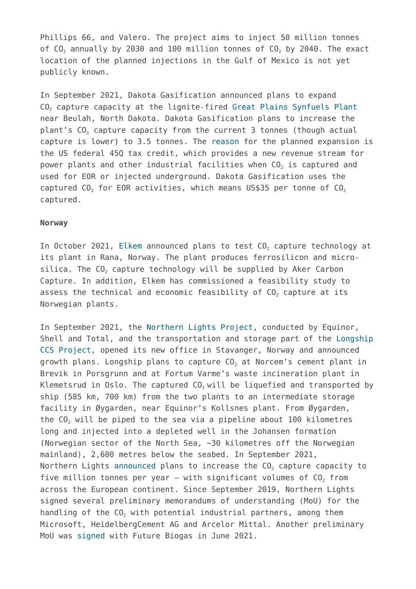Phillips 66, and Valero. The project aims to inject 50 million tonnes of  $CO<sub>2</sub>$  annually by 2030 and 100 million tonnes of  $CO<sub>2</sub>$  by 2040. The exact location of the planned injections in the Gulf of Mexico is not yet publicly known.

In September 2021, Dakota Gasification announced plans to expand CO<sub>2</sub> capture capacity at the lignite-fired [Great Plains Synfuels Plant](https://map.geoengineeringmonitor.org/ggr/great-plains-synfuels-plant) near Beulah, North Dakota. Dakota Gasification plans to increase the plant's CO<sub>2</sub> capture capacity from the current 3 tonnes (though actual capture is lower) to 3.5 tonnes. The [reason](https://www.basinelectric.com/News-Center/news-releases/Great-Plains-Synfuels-Plant-potential-to-be-largest-coal-based-carbon-capture-and-storage-project-to-use-geologic-storage) for the planned expansion is the US federal 45Q tax credit, which provides a new revenue stream for power plants and other industrial facilities when CO<sub>2</sub> is captured and used for EOR or injected underground. Dakota Gasification uses the captured  $CO<sub>2</sub>$  for EOR activities, which means US\$35 per tonne of  $CO<sub>2</sub>$ captured.

## **Norway**

In October 2021, [Elkem](https://map.geoengineeringmonitor.org/ggr/elkem-rana-plant) announced plans to test CO<sub>2</sub> capture technology at its plant in Rana, Norway. The plant produces ferrosilicon and microsilica. The CO<sub>2</sub> capture technology will be supplied by Aker Carbon Capture. In addition, Elkem has commissioned a feasibility study to assess the technical and economic feasibility of CO<sub>2</sub> capture at its Norwegian plants.

In September 2021, the [Northern Lights Project](https://map.geoengineeringmonitor.org/ggr/northern-lights-project), conducted by Equinor, Shell and Total, and the transportation and storage part of the [Longship](https://map.geoengineeringmonitor.org/ggr/longship-ccs-project) [CCS Project](https://map.geoengineeringmonitor.org/ggr/longship-ccs-project), opened its new office in Stavanger, Norway and announced growth plans. Longship plans to capture CO<sub>2</sub> at Norcem's cement plant in Brevik in Porsgrunn and at Fortum Varme's waste incineration plant in Klemetsrud in Oslo. The captured  $CO<sub>2</sub>$  will be liquefied and transported by ship (585 km, 700 km) from the two plants to an intermediate storage facility in Øygarden, near Equinor's Kollsnes plant. From Øygarden, the CO<sub>2</sub> will be piped to the sea via a pipeline about 100 kilometres long and injected into a depleted well in the Johansen formation (Norwegian sector of the North Sea, ~30 kilometres off the Norwegian mainland), 2,600 metres below the seabed. In September 2021, Northern Lights [announced](https://northernlightsccs.com/news/northern-lights-announces-growth-ambitions/) plans to increase the  $CO<sub>2</sub>$  capture capacity to five million tonnes per year – with significant volumes of  $CO<sub>2</sub>$  from across the European continent. Since September 2019, Northern Lights signed several preliminary memorandums of understanding (MoU) for the handling of the CO<sub>2</sub> with potential industrial partners, among them Microsoft, HeidelbergCement AG and Arcelor Mittal. Another preliminary MoU was [signed](https://northernlightsccs.com/news/northern-lights-signs-memorandum-of-understanding-mou-with-future-biogas/) with Future Biogas in June 2021.